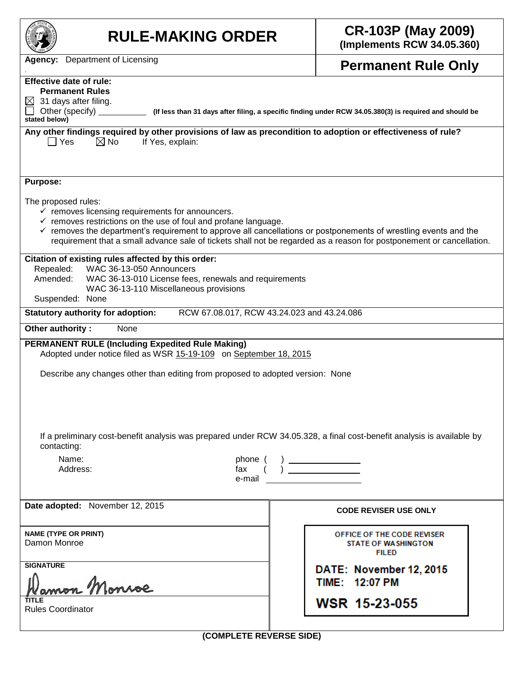| <b>RULE-MAKING ORDER</b>                                                                                                                                                                                                                                                                                                                                                                                                | <b>CR-103P (May 2009)</b><br>(Implements RCW 34.05.360)                                          |  |  |  |  |  |  |
|-------------------------------------------------------------------------------------------------------------------------------------------------------------------------------------------------------------------------------------------------------------------------------------------------------------------------------------------------------------------------------------------------------------------------|--------------------------------------------------------------------------------------------------|--|--|--|--|--|--|
| <b>Agency:</b> Department of Licensing                                                                                                                                                                                                                                                                                                                                                                                  | <b>Permanent Rule Only</b>                                                                       |  |  |  |  |  |  |
| <b>Effective date of rule:</b><br><b>Permanent Rules</b><br>31 days after filing.<br>$\bowtie$<br>Other (specify)<br>(If less than 31 days after filing, a specific finding under RCW 34.05.380(3) is required and should be<br>stated below)<br>Any other findings required by other provisions of law as precondition to adoption or effectiveness of rule?                                                           |                                                                                                  |  |  |  |  |  |  |
| $\boxtimes$ No<br>$\Box$ Yes<br>If Yes, explain:<br><b>Purpose:</b>                                                                                                                                                                                                                                                                                                                                                     |                                                                                                  |  |  |  |  |  |  |
| The proposed rules:<br>$\checkmark$ removes licensing requirements for announcers.<br>$\checkmark$ removes restrictions on the use of foul and profane language.<br>$\checkmark$ removes the department's requirement to approve all cancellations or postponements of wrestling events and the<br>requirement that a small advance sale of tickets shall not be regarded as a reason for postponement or cancellation. |                                                                                                  |  |  |  |  |  |  |
| Citation of existing rules affected by this order:<br>WAC 36-13-050 Announcers<br>Repealed:<br>WAC 36-13-010 License fees, renewals and requirements<br>Amended:<br>WAC 36-13-110 Miscellaneous provisions<br>Suspended: None                                                                                                                                                                                           |                                                                                                  |  |  |  |  |  |  |
| RCW 67.08.017, RCW 43.24.023 and 43.24.086<br><b>Statutory authority for adoption:</b>                                                                                                                                                                                                                                                                                                                                  |                                                                                                  |  |  |  |  |  |  |
| Other authority:<br>None<br><b>PERMANENT RULE (Including Expedited Rule Making)</b><br>Adopted under notice filed as WSR 15-19-109 on September 18, 2015                                                                                                                                                                                                                                                                |                                                                                                  |  |  |  |  |  |  |
| Describe any changes other than editing from proposed to adopted version: None                                                                                                                                                                                                                                                                                                                                          |                                                                                                  |  |  |  |  |  |  |
| If a preliminary cost-benefit analysis was prepared under RCW 34.05.328, a final cost-benefit analysis is available by<br>contacting:                                                                                                                                                                                                                                                                                   |                                                                                                  |  |  |  |  |  |  |
| Name:<br>phone (<br>Address:<br>fax<br>e-mail                                                                                                                                                                                                                                                                                                                                                                           | $\begin{pmatrix} & & \\ & \cdot & \\ & & \end{pmatrix} \begin{pmatrix} & & \\ & & \end{pmatrix}$ |  |  |  |  |  |  |
| Date adopted: November 12, 2015                                                                                                                                                                                                                                                                                                                                                                                         | <b>CODE REVISER USE ONLY</b>                                                                     |  |  |  |  |  |  |
| <b>NAME (TYPE OR PRINT)</b><br>Damon Monroe                                                                                                                                                                                                                                                                                                                                                                             | OFFICE OF THE CODE REVISER<br><b>STATE OF WASHINGTON</b><br><b>FILED</b>                         |  |  |  |  |  |  |
| <b>SIGNATURE</b><br>mon Monroe                                                                                                                                                                                                                                                                                                                                                                                          | DATE: November 12, 2015<br>TIME: 12:07 PM                                                        |  |  |  |  |  |  |
| <b>Rules Coordinator</b>                                                                                                                                                                                                                                                                                                                                                                                                | <b>WSR 15-23-055</b>                                                                             |  |  |  |  |  |  |

**(COMPLETE REVERSE SIDE)**